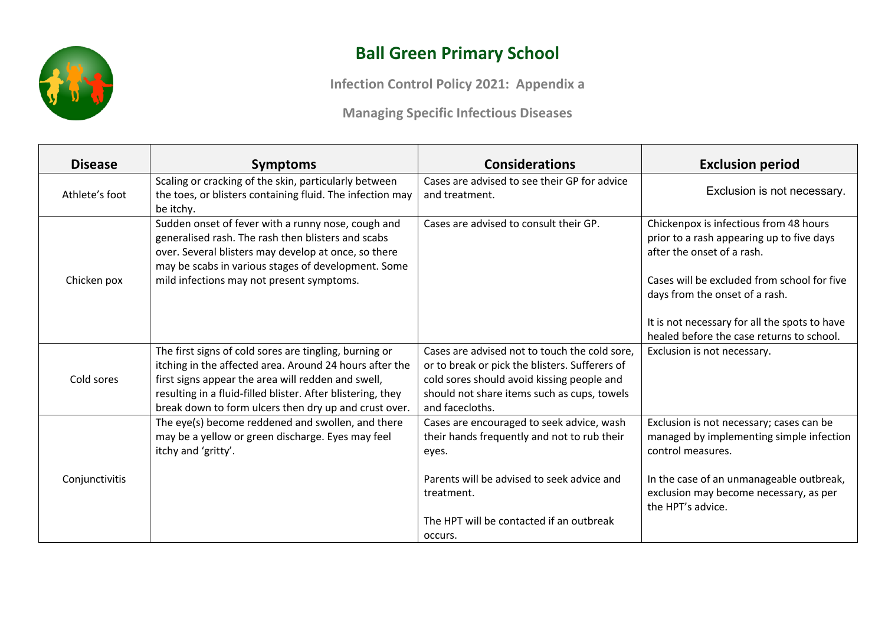

## **Ball Green Primary School**

**Infection Control Policy 2021: Appendix a**

**Managing Specific Infectious Diseases**

| <b>Disease</b> | <b>Symptoms</b>                                                                                                                                                                                                                                                                                 | <b>Considerations</b>                                                                                                                                                                                           | <b>Exclusion period</b>                                                                                                                                                                            |
|----------------|-------------------------------------------------------------------------------------------------------------------------------------------------------------------------------------------------------------------------------------------------------------------------------------------------|-----------------------------------------------------------------------------------------------------------------------------------------------------------------------------------------------------------------|----------------------------------------------------------------------------------------------------------------------------------------------------------------------------------------------------|
| Athlete's foot | Scaling or cracking of the skin, particularly between<br>the toes, or blisters containing fluid. The infection may<br>be itchy.                                                                                                                                                                 | Cases are advised to see their GP for advice<br>and treatment.                                                                                                                                                  | Exclusion is not necessary.                                                                                                                                                                        |
| Chicken pox    | Sudden onset of fever with a runny nose, cough and<br>generalised rash. The rash then blisters and scabs<br>over. Several blisters may develop at once, so there<br>may be scabs in various stages of development. Some<br>mild infections may not present symptoms.                            | Cases are advised to consult their GP.                                                                                                                                                                          | Chickenpox is infectious from 48 hours<br>prior to a rash appearing up to five days<br>after the onset of a rash.<br>Cases will be excluded from school for five<br>days from the onset of a rash. |
|                |                                                                                                                                                                                                                                                                                                 |                                                                                                                                                                                                                 | It is not necessary for all the spots to have<br>healed before the case returns to school.                                                                                                         |
| Cold sores     | The first signs of cold sores are tingling, burning or<br>itching in the affected area. Around 24 hours after the<br>first signs appear the area will redden and swell,<br>resulting in a fluid-filled blister. After blistering, they<br>break down to form ulcers then dry up and crust over. | Cases are advised not to touch the cold sore,<br>or to break or pick the blisters. Sufferers of<br>cold sores should avoid kissing people and<br>should not share items such as cups, towels<br>and facecloths. | Exclusion is not necessary.                                                                                                                                                                        |
|                | The eye(s) become reddened and swollen, and there<br>may be a yellow or green discharge. Eyes may feel<br>itchy and 'gritty'.                                                                                                                                                                   | Cases are encouraged to seek advice, wash<br>their hands frequently and not to rub their<br>eyes.                                                                                                               | Exclusion is not necessary; cases can be<br>managed by implementing simple infection<br>control measures.                                                                                          |
| Conjunctivitis |                                                                                                                                                                                                                                                                                                 | Parents will be advised to seek advice and<br>treatment.<br>The HPT will be contacted if an outbreak<br>occurs.                                                                                                 | In the case of an unmanageable outbreak,<br>exclusion may become necessary, as per<br>the HPT's advice.                                                                                            |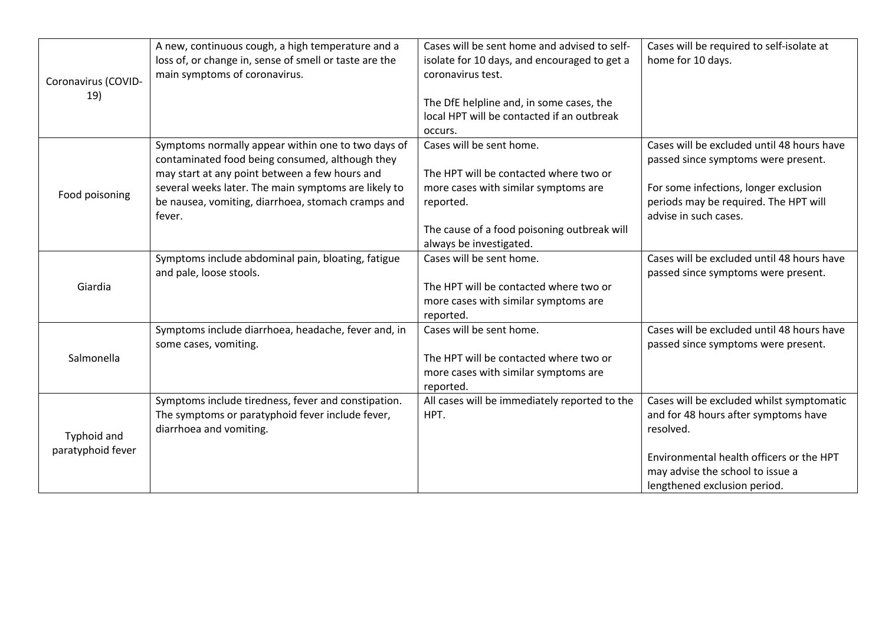| Coronavirus (COVID-<br>19)       | A new, continuous cough, a high temperature and a<br>loss of, or change in, sense of smell or taste are the<br>main symptoms of coronavirus.                                                                                                                                    | Cases will be sent home and advised to self-<br>isolate for 10 days, and encouraged to get a<br>coronavirus test.<br>The DfE helpline and, in some cases, the<br>local HPT will be contacted if an outbreak<br>occurs. | Cases will be required to self-isolate at<br>home for 10 days.                                                                                                                                                 |
|----------------------------------|---------------------------------------------------------------------------------------------------------------------------------------------------------------------------------------------------------------------------------------------------------------------------------|------------------------------------------------------------------------------------------------------------------------------------------------------------------------------------------------------------------------|----------------------------------------------------------------------------------------------------------------------------------------------------------------------------------------------------------------|
| Food poisoning                   | Symptoms normally appear within one to two days of<br>contaminated food being consumed, although they<br>may start at any point between a few hours and<br>several weeks later. The main symptoms are likely to<br>be nausea, vomiting, diarrhoea, stomach cramps and<br>fever. | Cases will be sent home.<br>The HPT will be contacted where two or<br>more cases with similar symptoms are<br>reported.<br>The cause of a food poisoning outbreak will<br>always be investigated.                      | Cases will be excluded until 48 hours have<br>passed since symptoms were present.<br>For some infections, longer exclusion<br>periods may be required. The HPT will<br>advise in such cases.                   |
| Giardia                          | Symptoms include abdominal pain, bloating, fatigue<br>and pale, loose stools.                                                                                                                                                                                                   | Cases will be sent home.<br>The HPT will be contacted where two or<br>more cases with similar symptoms are<br>reported.                                                                                                | Cases will be excluded until 48 hours have<br>passed since symptoms were present.                                                                                                                              |
| Salmonella                       | Symptoms include diarrhoea, headache, fever and, in<br>some cases, vomiting.                                                                                                                                                                                                    | Cases will be sent home.<br>The HPT will be contacted where two or<br>more cases with similar symptoms are<br>reported.                                                                                                | Cases will be excluded until 48 hours have<br>passed since symptoms were present.                                                                                                                              |
| Typhoid and<br>paratyphoid fever | Symptoms include tiredness, fever and constipation.<br>The symptoms or paratyphoid fever include fever,<br>diarrhoea and vomiting.                                                                                                                                              | All cases will be immediately reported to the<br>HPT.                                                                                                                                                                  | Cases will be excluded whilst symptomatic<br>and for 48 hours after symptoms have<br>resolved.<br>Environmental health officers or the HPT<br>may advise the school to issue a<br>lengthened exclusion period. |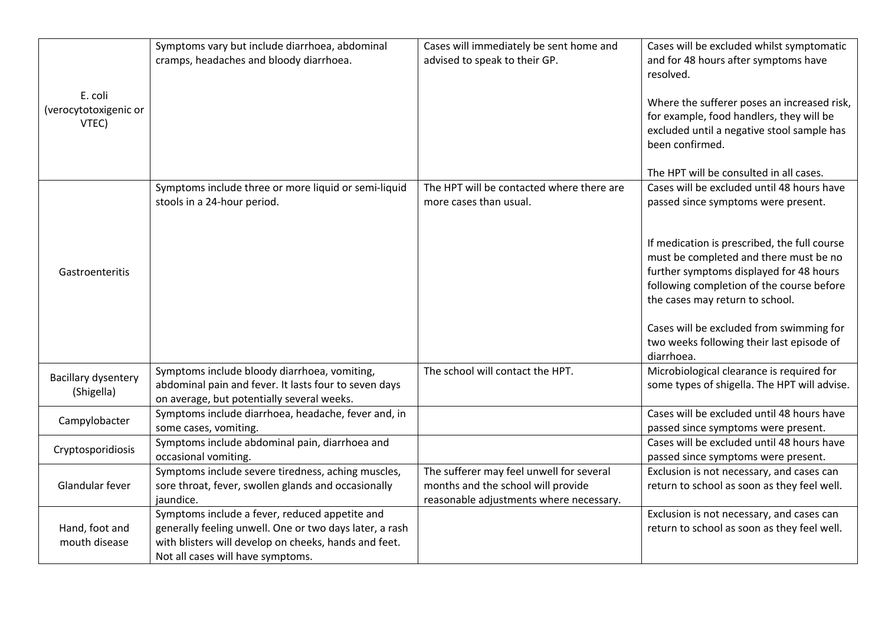| E. coli<br>(verocytotoxigenic or<br>VTEC) | Symptoms vary but include diarrhoea, abdominal<br>cramps, headaches and bloody diarrhoea.                                                                                                               | Cases will immediately be sent home and<br>advised to speak to their GP.                                                  | Cases will be excluded whilst symptomatic<br>and for 48 hours after symptoms have<br>resolved.<br>Where the sufferer poses an increased risk,<br>for example, food handlers, they will be<br>excluded until a negative stool sample has<br>been confirmed.<br>The HPT will be consulted in all cases.                                                                                                         |
|-------------------------------------------|---------------------------------------------------------------------------------------------------------------------------------------------------------------------------------------------------------|---------------------------------------------------------------------------------------------------------------------------|---------------------------------------------------------------------------------------------------------------------------------------------------------------------------------------------------------------------------------------------------------------------------------------------------------------------------------------------------------------------------------------------------------------|
| Gastroenteritis                           | Symptoms include three or more liquid or semi-liquid<br>stools in a 24-hour period.                                                                                                                     | The HPT will be contacted where there are<br>more cases than usual.                                                       | Cases will be excluded until 48 hours have<br>passed since symptoms were present.<br>If medication is prescribed, the full course<br>must be completed and there must be no<br>further symptoms displayed for 48 hours<br>following completion of the course before<br>the cases may return to school.<br>Cases will be excluded from swimming for<br>two weeks following their last episode of<br>diarrhoea. |
| Bacillary dysentery<br>(Shigella)         | Symptoms include bloody diarrhoea, vomiting,<br>abdominal pain and fever. It lasts four to seven days<br>on average, but potentially several weeks.                                                     | The school will contact the HPT.                                                                                          | Microbiological clearance is required for<br>some types of shigella. The HPT will advise.                                                                                                                                                                                                                                                                                                                     |
| Campylobacter                             | Symptoms include diarrhoea, headache, fever and, in<br>some cases, vomiting.                                                                                                                            |                                                                                                                           | Cases will be excluded until 48 hours have<br>passed since symptoms were present.                                                                                                                                                                                                                                                                                                                             |
| Cryptosporidiosis                         | Symptoms include abdominal pain, diarrhoea and<br>occasional vomiting.                                                                                                                                  |                                                                                                                           | Cases will be excluded until 48 hours have<br>passed since symptoms were present.                                                                                                                                                                                                                                                                                                                             |
| Glandular fever                           | Symptoms include severe tiredness, aching muscles,<br>sore throat, fever, swollen glands and occasionally<br>jaundice.                                                                                  | The sufferer may feel unwell for several<br>months and the school will provide<br>reasonable adjustments where necessary. | Exclusion is not necessary, and cases can<br>return to school as soon as they feel well.                                                                                                                                                                                                                                                                                                                      |
| Hand, foot and<br>mouth disease           | Symptoms include a fever, reduced appetite and<br>generally feeling unwell. One or two days later, a rash<br>with blisters will develop on cheeks, hands and feet.<br>Not all cases will have symptoms. |                                                                                                                           | Exclusion is not necessary, and cases can<br>return to school as soon as they feel well.                                                                                                                                                                                                                                                                                                                      |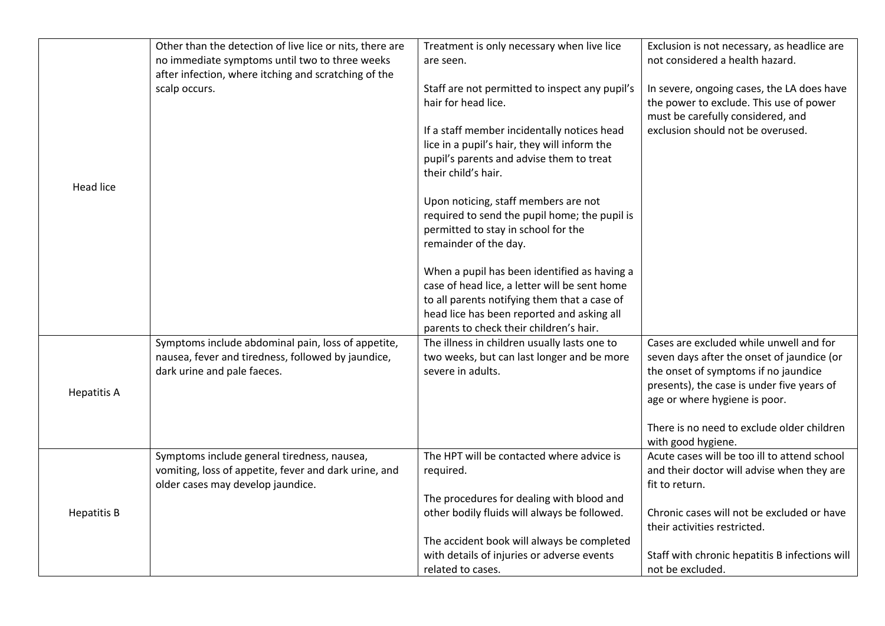|                    | Other than the detection of live lice or nits, there are<br>no immediate symptoms until two to three weeks<br>after infection, where itching and scratching of the | Treatment is only necessary when live lice<br>are seen.                                                                                                                                                                                 | Exclusion is not necessary, as headlice are<br>not considered a health hazard.                                                                                                                               |
|--------------------|--------------------------------------------------------------------------------------------------------------------------------------------------------------------|-----------------------------------------------------------------------------------------------------------------------------------------------------------------------------------------------------------------------------------------|--------------------------------------------------------------------------------------------------------------------------------------------------------------------------------------------------------------|
|                    | scalp occurs.                                                                                                                                                      | Staff are not permitted to inspect any pupil's<br>hair for head lice.<br>If a staff member incidentally notices head<br>lice in a pupil's hair, they will inform the<br>pupil's parents and advise them to treat<br>their child's hair. | In severe, ongoing cases, the LA does have<br>the power to exclude. This use of power<br>must be carefully considered, and<br>exclusion should not be overused.                                              |
| <b>Head lice</b>   |                                                                                                                                                                    | Upon noticing, staff members are not<br>required to send the pupil home; the pupil is<br>permitted to stay in school for the<br>remainder of the day.                                                                                   |                                                                                                                                                                                                              |
|                    |                                                                                                                                                                    | When a pupil has been identified as having a<br>case of head lice, a letter will be sent home<br>to all parents notifying them that a case of<br>head lice has been reported and asking all<br>parents to check their children's hair.  |                                                                                                                                                                                                              |
| <b>Hepatitis A</b> | Symptoms include abdominal pain, loss of appetite,<br>nausea, fever and tiredness, followed by jaundice,<br>dark urine and pale faeces.                            | The illness in children usually lasts one to<br>two weeks, but can last longer and be more<br>severe in adults.                                                                                                                         | Cases are excluded while unwell and for<br>seven days after the onset of jaundice (or<br>the onset of symptoms if no jaundice<br>presents), the case is under five years of<br>age or where hygiene is poor. |
|                    |                                                                                                                                                                    |                                                                                                                                                                                                                                         | There is no need to exclude older children<br>with good hygiene.                                                                                                                                             |
| <b>Hepatitis B</b> | Symptoms include general tiredness, nausea,<br>vomiting, loss of appetite, fever and dark urine, and<br>older cases may develop jaundice.                          | The HPT will be contacted where advice is<br>required.                                                                                                                                                                                  | Acute cases will be too ill to attend school<br>and their doctor will advise when they are<br>fit to return.                                                                                                 |
|                    |                                                                                                                                                                    | The procedures for dealing with blood and<br>other bodily fluids will always be followed.                                                                                                                                               | Chronic cases will not be excluded or have<br>their activities restricted.                                                                                                                                   |
|                    |                                                                                                                                                                    | The accident book will always be completed<br>with details of injuries or adverse events<br>related to cases.                                                                                                                           | Staff with chronic hepatitis B infections will<br>not be excluded.                                                                                                                                           |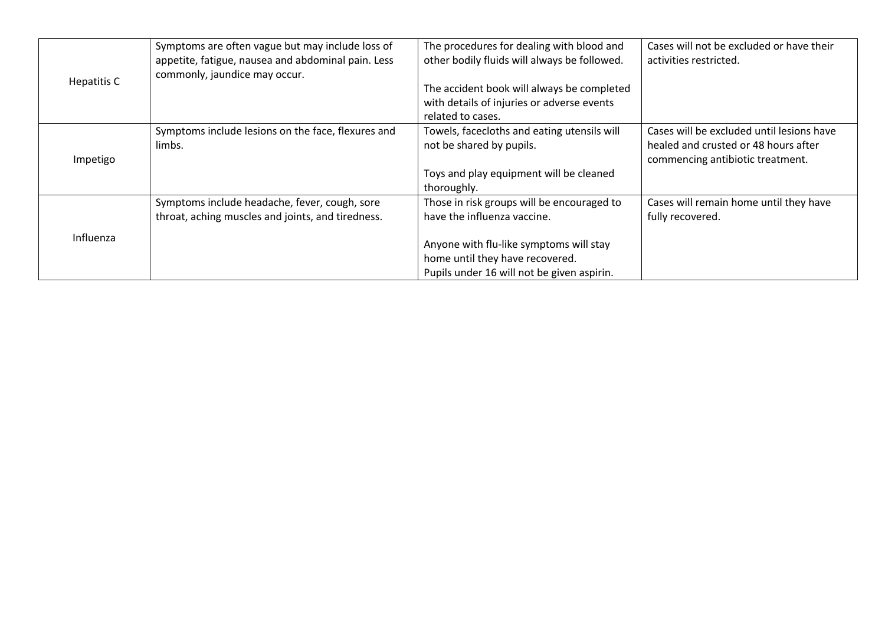| Hepatitis C | Symptoms are often vague but may include loss of<br>appetite, fatigue, nausea and abdominal pain. Less<br>commonly, jaundice may occur. | The procedures for dealing with blood and<br>other bodily fluids will always be followed.<br>The accident book will always be completed<br>with details of injuries or adverse events<br>related to cases. | Cases will not be excluded or have their<br>activities restricted.                                                    |
|-------------|-----------------------------------------------------------------------------------------------------------------------------------------|------------------------------------------------------------------------------------------------------------------------------------------------------------------------------------------------------------|-----------------------------------------------------------------------------------------------------------------------|
| Impetigo    | Symptoms include lesions on the face, flexures and<br>limbs.                                                                            | Towels, facecloths and eating utensils will<br>not be shared by pupils.<br>Toys and play equipment will be cleaned<br>thoroughly.                                                                          | Cases will be excluded until lesions have<br>healed and crusted or 48 hours after<br>commencing antibiotic treatment. |
| Influenza   | Symptoms include headache, fever, cough, sore<br>throat, aching muscles and joints, and tiredness.                                      | Those in risk groups will be encouraged to<br>have the influenza vaccine.<br>Anyone with flu-like symptoms will stay<br>home until they have recovered.<br>Pupils under 16 will not be given aspirin.      | Cases will remain home until they have<br>fully recovered.                                                            |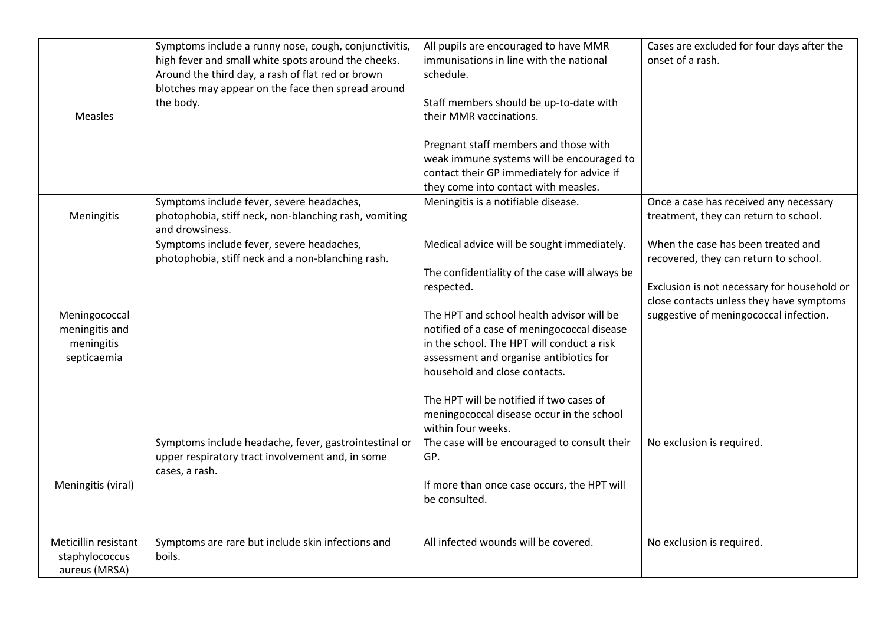| Measles                                                      | Symptoms include a runny nose, cough, conjunctivitis,<br>high fever and small white spots around the cheeks.<br>Around the third day, a rash of flat red or brown<br>blotches may appear on the face then spread around<br>the body. | All pupils are encouraged to have MMR<br>immunisations in line with the national<br>schedule.<br>Staff members should be up-to-date with<br>their MMR vaccinations.<br>Pregnant staff members and those with<br>weak immune systems will be encouraged to<br>contact their GP immediately for advice if<br>they come into contact with measles.                                                                                                 | Cases are excluded for four days after the<br>onset of a rash.                                                                                                                                                   |
|--------------------------------------------------------------|--------------------------------------------------------------------------------------------------------------------------------------------------------------------------------------------------------------------------------------|-------------------------------------------------------------------------------------------------------------------------------------------------------------------------------------------------------------------------------------------------------------------------------------------------------------------------------------------------------------------------------------------------------------------------------------------------|------------------------------------------------------------------------------------------------------------------------------------------------------------------------------------------------------------------|
| Meningitis                                                   | Symptoms include fever, severe headaches,<br>photophobia, stiff neck, non-blanching rash, vomiting<br>and drowsiness.                                                                                                                | Meningitis is a notifiable disease.                                                                                                                                                                                                                                                                                                                                                                                                             | Once a case has received any necessary<br>treatment, they can return to school.                                                                                                                                  |
| Meningococcal<br>meningitis and<br>meningitis<br>septicaemia | Symptoms include fever, severe headaches,<br>photophobia, stiff neck and a non-blanching rash.                                                                                                                                       | Medical advice will be sought immediately.<br>The confidentiality of the case will always be<br>respected.<br>The HPT and school health advisor will be<br>notified of a case of meningococcal disease<br>in the school. The HPT will conduct a risk<br>assessment and organise antibiotics for<br>household and close contacts.<br>The HPT will be notified if two cases of<br>meningococcal disease occur in the school<br>within four weeks. | When the case has been treated and<br>recovered, they can return to school.<br>Exclusion is not necessary for household or<br>close contacts unless they have symptoms<br>suggestive of meningococcal infection. |
| Meningitis (viral)                                           | Symptoms include headache, fever, gastrointestinal or<br>upper respiratory tract involvement and, in some<br>cases, a rash.                                                                                                          | The case will be encouraged to consult their<br>GP.<br>If more than once case occurs, the HPT will<br>be consulted.                                                                                                                                                                                                                                                                                                                             | No exclusion is required.                                                                                                                                                                                        |
| Meticillin resistant<br>staphylococcus<br>aureus (MRSA)      | Symptoms are rare but include skin infections and<br>boils.                                                                                                                                                                          | All infected wounds will be covered.                                                                                                                                                                                                                                                                                                                                                                                                            | No exclusion is required.                                                                                                                                                                                        |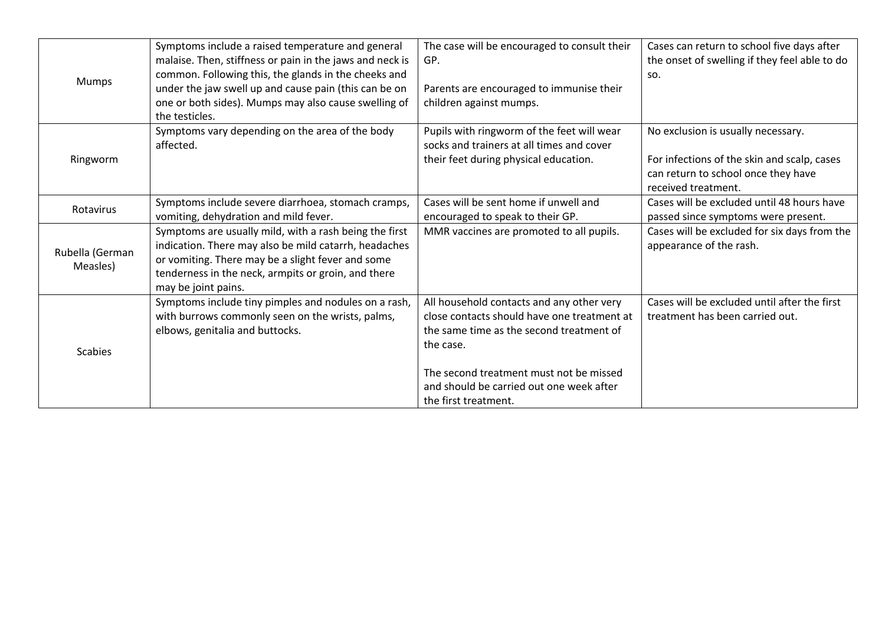|                 | Symptoms include a raised temperature and general                                                                | The case will be encouraged to consult their | Cases can return to school five days after                 |
|-----------------|------------------------------------------------------------------------------------------------------------------|----------------------------------------------|------------------------------------------------------------|
| Mumps           | malaise. Then, stiffness or pain in the jaws and neck is<br>common. Following this, the glands in the cheeks and | GP.                                          | the onset of swelling if they feel able to do<br>SO.       |
|                 | under the jaw swell up and cause pain (this can be on                                                            | Parents are encouraged to immunise their     |                                                            |
|                 | one or both sides). Mumps may also cause swelling of<br>the testicles.                                           | children against mumps.                      |                                                            |
|                 | Symptoms vary depending on the area of the body                                                                  | Pupils with ringworm of the feet will wear   | No exclusion is usually necessary.                         |
|                 | affected.                                                                                                        | socks and trainers at all times and cover    |                                                            |
| Ringworm        |                                                                                                                  | their feet during physical education.        | For infections of the skin and scalp, cases                |
|                 |                                                                                                                  |                                              | can return to school once they have<br>received treatment. |
|                 | Symptoms include severe diarrhoea, stomach cramps,                                                               | Cases will be sent home if unwell and        | Cases will be excluded until 48 hours have                 |
| Rotavirus       | vomiting, dehydration and mild fever.                                                                            | encouraged to speak to their GP.             | passed since symptoms were present.                        |
|                 | Symptoms are usually mild, with a rash being the first                                                           | MMR vaccines are promoted to all pupils.     | Cases will be excluded for six days from the               |
|                 | indication. There may also be mild catarrh, headaches                                                            |                                              | appearance of the rash.                                    |
| Rubella (German | or vomiting. There may be a slight fever and some                                                                |                                              |                                                            |
| Measles)        | tenderness in the neck, armpits or groin, and there                                                              |                                              |                                                            |
|                 | may be joint pains.                                                                                              |                                              |                                                            |
|                 | Symptoms include tiny pimples and nodules on a rash,                                                             | All household contacts and any other very    | Cases will be excluded until after the first               |
| <b>Scabies</b>  | with burrows commonly seen on the wrists, palms,                                                                 | close contacts should have one treatment at  | treatment has been carried out.                            |
|                 | elbows, genitalia and buttocks.                                                                                  | the same time as the second treatment of     |                                                            |
|                 |                                                                                                                  | the case.                                    |                                                            |
|                 |                                                                                                                  |                                              |                                                            |
|                 |                                                                                                                  | The second treatment must not be missed      |                                                            |
|                 |                                                                                                                  | and should be carried out one week after     |                                                            |
|                 |                                                                                                                  | the first treatment.                         |                                                            |